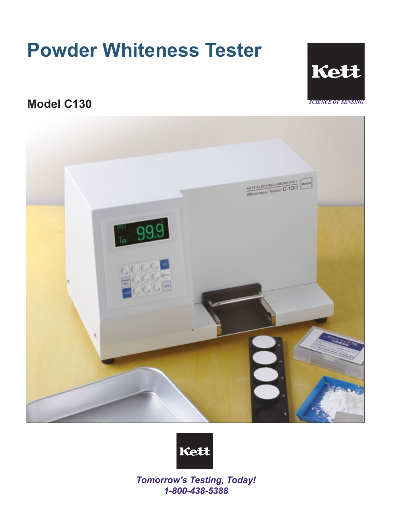# **Powder Whiteness Tester**



# **Model C130**





*Tomorrow's Testing, Today! 1-800-438-5388*